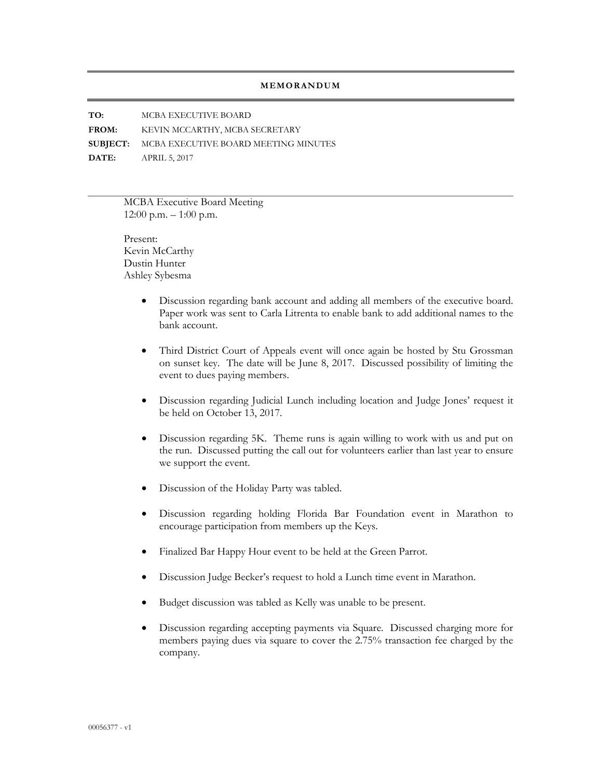## **MEMORANDUM**

**TO:** MCBA EXECUTIVE BOARD **FROM:** KEVIN MCCARTHY, MCBA SECRETARY **SUBJECT:** MCBA EXECUTIVE BOARD MEETING MINUTES **DATE:** APRIL 5, 2017

> MCBA Executive Board Meeting  $12:00$  p.m.  $-1:00$  p.m.

Present: Kevin McCarthy Dustin Hunter Ashley Sybesma

- Discussion regarding bank account and adding all members of the executive board. Paper work was sent to Carla Litrenta to enable bank to add additional names to the bank account.
- Third District Court of Appeals event will once again be hosted by Stu Grossman on sunset key. The date will be June 8, 2017. Discussed possibility of limiting the event to dues paying members.
- Discussion regarding Judicial Lunch including location and Judge Jones' request it be held on October 13, 2017.
- Discussion regarding 5K. Theme runs is again willing to work with us and put on the run. Discussed putting the call out for volunteers earlier than last year to ensure we support the event.
- Discussion of the Holiday Party was tabled.
- Discussion regarding holding Florida Bar Foundation event in Marathon to encourage participation from members up the Keys.
- Finalized Bar Happy Hour event to be held at the Green Parrot.
- Discussion Judge Becker's request to hold a Lunch time event in Marathon.
- Budget discussion was tabled as Kelly was unable to be present.
- Discussion regarding accepting payments via Square. Discussed charging more for members paying dues via square to cover the 2.75% transaction fee charged by the company.